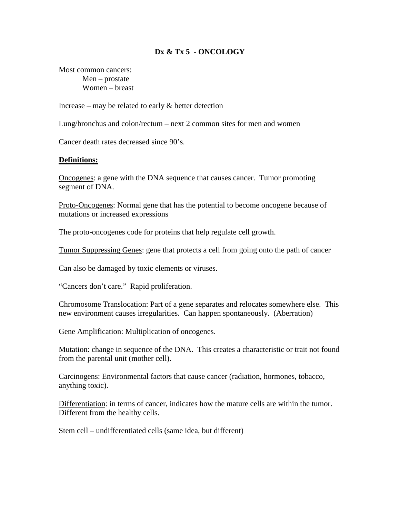# **Dx & Tx 5 - ONCOLOGY**

Most common cancers: Men – prostate Women – breast

Increase – may be related to early  $\&$  better detection

Lung/bronchus and colon/rectum – next 2 common sites for men and women

Cancer death rates decreased since 90's.

#### **Definitions:**

Oncogenes: a gene with the DNA sequence that causes cancer. Tumor promoting segment of DNA.

Proto-Oncogenes: Normal gene that has the potential to become oncogene because of mutations or increased expressions

The proto-oncogenes code for proteins that help regulate cell growth.

Tumor Suppressing Genes: gene that protects a cell from going onto the path of cancer

Can also be damaged by toxic elements or viruses.

"Cancers don't care." Rapid proliferation.

Chromosome Translocation: Part of a gene separates and relocates somewhere else. This new environment causes irregularities. Can happen spontaneously. (Aberration)

Gene Amplification: Multiplication of oncogenes.

Mutation: change in sequence of the DNA. This creates a characteristic or trait not found from the parental unit (mother cell).

Carcinogens: Environmental factors that cause cancer (radiation, hormones, tobacco, anything toxic).

Differentiation: in terms of cancer, indicates how the mature cells are within the tumor. Different from the healthy cells.

Stem cell – undifferentiated cells (same idea, but different)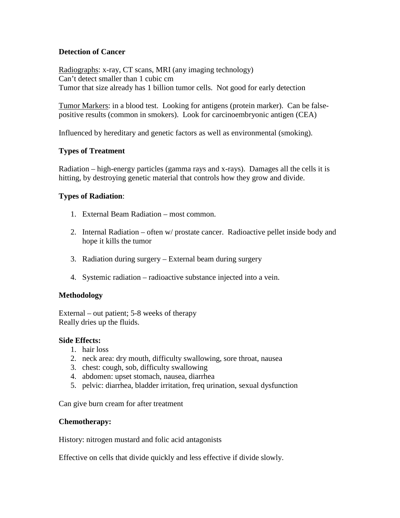## **Detection of Cancer**

Radiographs: x-ray, CT scans, MRI (any imaging technology) Can't detect smaller than 1 cubic cm Tumor that size already has 1 billion tumor cells. Not good for early detection

Tumor Markers: in a blood test. Looking for antigens (protein marker). Can be falsepositive results (common in smokers). Look for carcinoembryonic antigen (CEA)

Influenced by hereditary and genetic factors as well as environmental (smoking).

# **Types of Treatment**

Radiation – high-energy particles (gamma rays and x-rays). Damages all the cells it is hitting, by destroying genetic material that controls how they grow and divide.

## **Types of Radiation**:

- 1. External Beam Radiation most common.
- 2. Internal Radiation often w/ prostate cancer. Radioactive pellet inside body and hope it kills the tumor
- 3. Radiation during surgery External beam during surgery
- 4. Systemic radiation radioactive substance injected into a vein.

### **Methodology**

External – out patient; 5-8 weeks of therapy Really dries up the fluids.

### **Side Effects:**

- 1. hair loss
- 2. neck area: dry mouth, difficulty swallowing, sore throat, nausea
- 3. chest: cough, sob, difficulty swallowing
- 4. abdomen: upset stomach, nausea, diarrhea
- 5. pelvic: diarrhea, bladder irritation, freq urination, sexual dysfunction

Can give burn cream for after treatment

### **Chemotherapy:**

History: nitrogen mustard and folic acid antagonists

Effective on cells that divide quickly and less effective if divide slowly.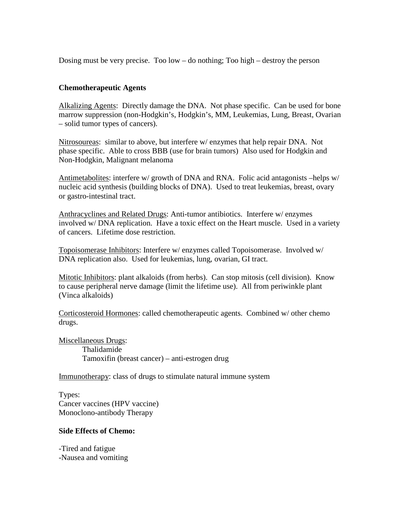Dosing must be very precise. Too low – do nothing; Too high – destroy the person

### **Chemotherapeutic Agents**

Alkalizing Agents: Directly damage the DNA. Not phase specific. Can be used for bone marrow suppression (non-Hodgkin's, Hodgkin's, MM, Leukemias, Lung, Breast, Ovarian – solid tumor types of cancers).

Nitrosoureas: similar to above, but interfere w/ enzymes that help repair DNA. Not phase specific. Able to cross BBB (use for brain tumors) Also used for Hodgkin and Non-Hodgkin, Malignant melanoma

Antimetabolites: interfere w/ growth of DNA and RNA. Folic acid antagonists –helps w/ nucleic acid synthesis (building blocks of DNA). Used to treat leukemias, breast, ovary or gastro-intestinal tract.

Anthracyclines and Related Drugs: Anti-tumor antibiotics. Interfere w/ enzymes involved w/ DNA replication. Have a toxic effect on the Heart muscle. Used in a variety of cancers. Lifetime dose restriction.

Topoisomerase Inhibitors: Interfere w/ enzymes called Topoisomerase. Involved w/ DNA replication also. Used for leukemias, lung, ovarian, GI tract.

Mitotic Inhibitors: plant alkaloids (from herbs). Can stop mitosis (cell division). Know to cause peripheral nerve damage (limit the lifetime use). All from periwinkle plant (Vinca alkaloids)

Corticosteroid Hormones: called chemotherapeutic agents. Combined w/ other chemo drugs.

Miscellaneous Drugs: Thalidamide Tamoxifin (breast cancer) – anti-estrogen drug

Immunotherapy: class of drugs to stimulate natural immune system

Types: Cancer vaccines (HPV vaccine) Monoclono-antibody Therapy

### **Side Effects of Chemo:**

-Tired and fatigue -Nausea and vomiting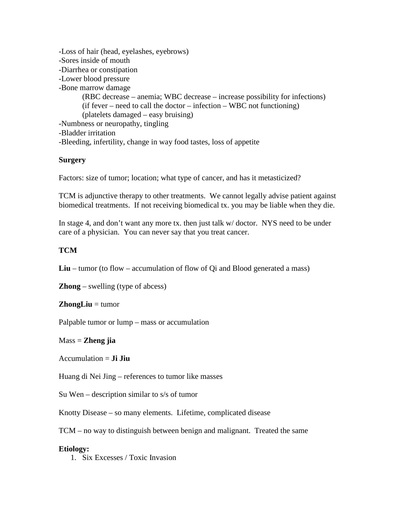-Loss of hair (head, eyelashes, eyebrows) -Sores inside of mouth -Diarrhea or constipation -Lower blood pressure -Bone marrow damage (RBC decrease – anemia; WBC decrease – increase possibility for infections)  $(if fever - need to call the doctor - infection - WBC not functioning)$ (platelets damaged – easy bruising) -Numbness or neuropathy, tingling -Bladder irritation -Bleeding, infertility, change in way food tastes, loss of appetite

## **Surgery**

Factors: size of tumor; location; what type of cancer, and has it metasticized?

TCM is adjunctive therapy to other treatments. We cannot legally advise patient against biomedical treatments. If not receiving biomedical tx. you may be liable when they die.

In stage 4, and don't want any more tx. then just talk w/ doctor. NYS need to be under care of a physician. You can never say that you treat cancer.

## **TCM**

**Liu** – tumor (to flow – accumulation of flow of Qi and Blood generated a mass)

**Zhong** – swelling (type of abcess)

### **ZhongLiu** = tumor

Palpable tumor or lump – mass or accumulation

### Mass = **Zheng jia**

Accumulation  $=$  **Ji Jiu** 

Huang di Nei Jing – references to tumor like masses

Su Wen – description similar to s/s of tumor

Knotty Disease – so many elements. Lifetime, complicated disease

TCM – no way to distinguish between benign and malignant. Treated the same

### **Etiology:**

1. Six Excesses / Toxic Invasion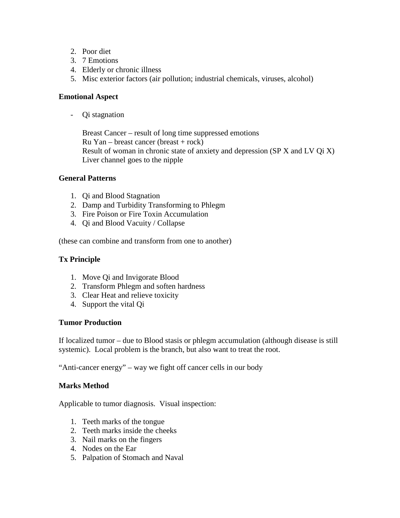- 2. Poor diet
- 3. 7 Emotions
- 4. Elderly or chronic illness
- 5. Misc exterior factors (air pollution; industrial chemicals, viruses, alcohol)

# **Emotional Aspect**

- Qi stagnation

Breast Cancer – result of long time suppressed emotions  $Ru$  Yan – breast cancer (breast + rock) Result of woman in chronic state of anxiety and depression (SP X and LV Qi X) Liver channel goes to the nipple

# **General Patterns**

- 1. Qi and Blood Stagnation
- 2. Damp and Turbidity Transforming to Phlegm
- 3. Fire Poison or Fire Toxin Accumulation
- 4. Qi and Blood Vacuity / Collapse

(these can combine and transform from one to another)

# **Tx Principle**

- 1. Move Qi and Invigorate Blood
- 2. Transform Phlegm and soften hardness
- 3. Clear Heat and relieve toxicity
- 4. Support the vital Qi

# **Tumor Production**

If localized tumor – due to Blood stasis or phlegm accumulation (although disease is still systemic). Local problem is the branch, but also want to treat the root.

"Anti-cancer energy" – way we fight off cancer cells in our body

# **Marks Method**

Applicable to tumor diagnosis. Visual inspection:

- 1. Teeth marks of the tongue
- 2. Teeth marks inside the cheeks
- 3. Nail marks on the fingers
- 4. Nodes on the Ear
- 5. Palpation of Stomach and Naval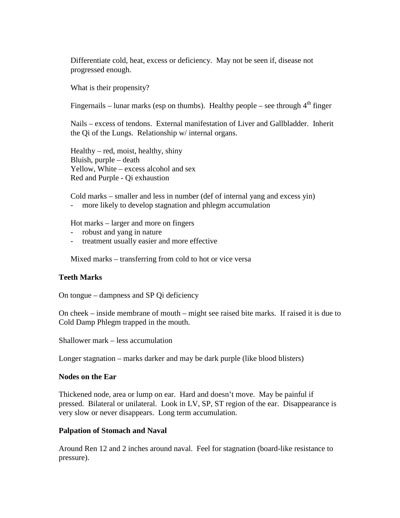Differentiate cold, heat, excess or deficiency. May not be seen if, disease not progressed enough.

What is their propensity?

Fingernails – lunar marks (esp on thumbs). Healthy people – see through  $4<sup>th</sup>$  finger

Nails – excess of tendons. External manifestation of Liver and Gallbladder. Inherit the Qi of the Lungs. Relationship w/ internal organs.

Healthy – red, moist, healthy, shiny Bluish, purple – death Yellow, White – excess alcohol and sex Red and Purple - Qi exhaustion

Cold marks – smaller and less in number (def of internal yang and excess yin) - more likely to develop stagnation and phlegm accumulation

Hot marks – larger and more on fingers

- robust and yang in nature
- treatment usually easier and more effective

Mixed marks – transferring from cold to hot or vice versa

#### **Teeth Marks**

On tongue – dampness and SP Qi deficiency

On cheek – inside membrane of mouth – might see raised bite marks. If raised it is due to Cold Damp Phlegm trapped in the mouth.

Shallower mark – less accumulation

Longer stagnation – marks darker and may be dark purple (like blood blisters)

#### **Nodes on the Ear**

Thickened node, area or lump on ear. Hard and doesn't move. May be painful if pressed. Bilateral or unilateral. Look in LV, SP, ST region of the ear. Disappearance is very slow or never disappears. Long term accumulation.

#### **Palpation of Stomach and Naval**

Around Ren 12 and 2 inches around naval. Feel for stagnation (board-like resistance to pressure).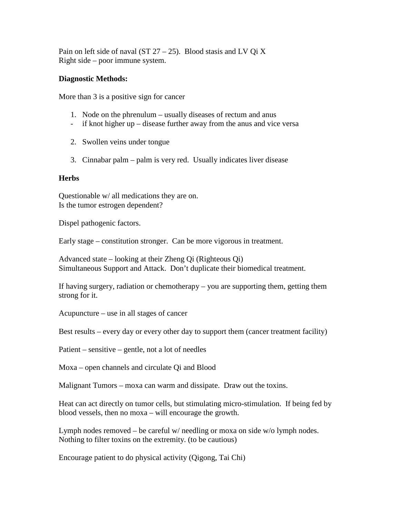Pain on left side of naval (ST  $27 - 25$ ). Blood stasis and LV Oi X Right side – poor immune system.

### **Diagnostic Methods:**

More than 3 is a positive sign for cancer

- 1. Node on the phrenulum usually diseases of rectum and anus
- if knot higher up disease further away from the anus and vice versa
- 2. Swollen veins under tongue
- 3. Cinnabar palm palm is very red. Usually indicates liver disease

#### **Herbs**

Questionable w/ all medications they are on. Is the tumor estrogen dependent?

Dispel pathogenic factors.

Early stage – constitution stronger. Can be more vigorous in treatment.

Advanced state – looking at their Zheng Qi (Righteous Qi) Simultaneous Support and Attack. Don't duplicate their biomedical treatment.

If having surgery, radiation or chemotherapy – you are supporting them, getting them strong for it.

Acupuncture – use in all stages of cancer

Best results – every day or every other day to support them (cancer treatment facility)

Patient – sensitive – gentle, not a lot of needles

Moxa – open channels and circulate Qi and Blood

Malignant Tumors – moxa can warm and dissipate. Draw out the toxins.

Heat can act directly on tumor cells, but stimulating micro-stimulation. If being fed by blood vessels, then no moxa – will encourage the growth.

Lymph nodes removed – be careful w/ needling or moxa on side w/o lymph nodes. Nothing to filter toxins on the extremity. (to be cautious)

Encourage patient to do physical activity (Qigong, Tai Chi)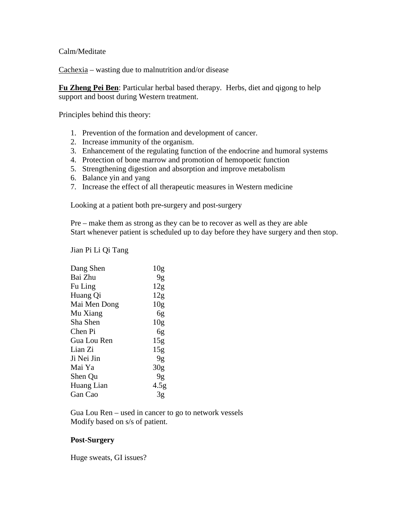Calm/Meditate

Cachexia – wasting due to malnutrition and/or disease

**Fu Zheng Pei Ben**: Particular herbal based therapy. Herbs, diet and qigong to help support and boost during Western treatment.

Principles behind this theory:

- 1. Prevention of the formation and development of cancer.
- 2. Increase immunity of the organism.
- 3. Enhancement of the regulating function of the endocrine and humoral systems
- 4. Protection of bone marrow and promotion of hemopoetic function
- 5. Strengthening digestion and absorption and improve metabolism
- 6. Balance yin and yang
- 7. Increase the effect of all therapeutic measures in Western medicine

Looking at a patient both pre-surgery and post-surgery

Pre – make them as strong as they can be to recover as well as they are able Start whenever patient is scheduled up to day before they have surgery and then stop.

Jian Pi Li Qi Tang

| Dang Shen    | 10 <sub>g</sub>  |
|--------------|------------------|
| Bai Zhu      | 9g               |
| Fu Ling      | 12 <sub>g</sub>  |
| Huang Qi     | 12g              |
| Mai Men Dong | 10 <sub>g</sub>  |
| Mu Xiang     | 6g               |
| Sha Shen     | 10g              |
| Chen Pi      | 6g               |
| Gua Lou Ren  | 15g              |
| Lian Zi      | 15g              |
| Ji Nei Jin   | 9g               |
| Mai Ya       | 30 <sub>g</sub>  |
| Shen Qu      | 9g               |
| Huang Lian   | 4.5 <sub>g</sub> |
| Gan Cao      | 3g               |
|              |                  |

Gua Lou Ren – used in cancer to go to network vessels Modify based on s/s of patient.

### **Post-Surgery**

Huge sweats, GI issues?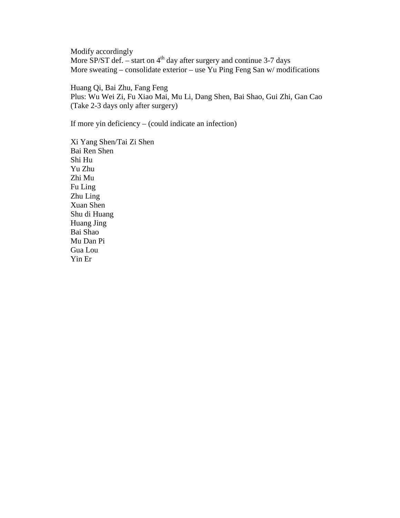Modify accordingly More SP/ST def. – start on  $4<sup>th</sup>$  day after surgery and continue 3-7 days More sweating – consolidate exterior – use Yu Ping Feng San w/ modifications

Huang Qi, Bai Zhu, Fang Feng Plus: Wu Wei Zi, Fu Xiao Mai, Mu Li, Dang Shen, Bai Shao, Gui Zhi, Gan Cao (Take 2-3 days only after surgery)

If more yin deficiency – (could indicate an infection)

Xi Yang Shen/Tai Zi Shen Bai Ren Shen Shi Hu Yu Zhu Zhi Mu Fu Ling Zhu Ling Xuan Shen Shu di Huang Huang Jing Bai Shao Mu Dan Pi Gua Lou Yin Er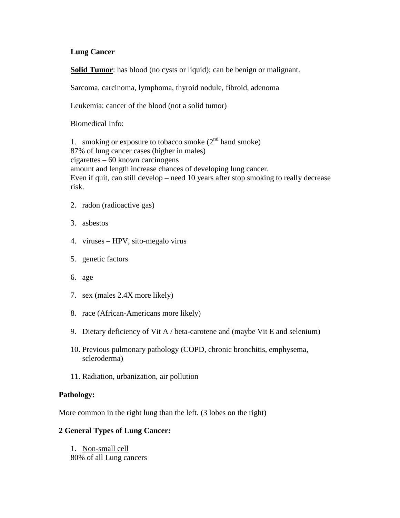### **Lung Cancer**

**Solid Tumor:** has blood (no cysts or liquid); can be benign or malignant.

Sarcoma, carcinoma, lymphoma, thyroid nodule, fibroid, adenoma

Leukemia: cancer of the blood (not a solid tumor)

Biomedical Info:

1. smoking or exposure to tobacco smoke  $(2<sup>nd</sup>$  hand smoke) 87% of lung cancer cases (higher in males) cigarettes – 60 known carcinogens amount and length increase chances of developing lung cancer. Even if quit, can still develop – need 10 years after stop smoking to really decrease risk.

- 2. radon (radioactive gas)
- 3. asbestos
- 4. viruses HPV, sito-megalo virus
- 5. genetic factors
- 6. age
- 7. sex (males 2.4X more likely)
- 8. race (African-Americans more likely)
- 9. Dietary deficiency of Vit A / beta-carotene and (maybe Vit E and selenium)
- 10. Previous pulmonary pathology (COPD, chronic bronchitis, emphysema, scleroderma)
- 11. Radiation, urbanization, air pollution

### **Pathology:**

More common in the right lung than the left. (3 lobes on the right)

### **2 General Types of Lung Cancer:**

1. Non-small cell 80% of all Lung cancers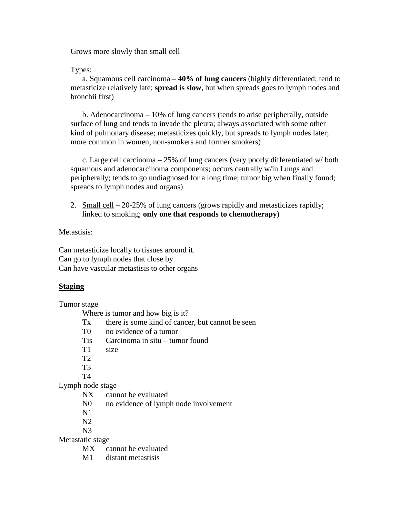Grows more slowly than small cell

#### Types:

a. Squamous cell carcinoma – **40% of lung cancers** (highly differentiated; tend to metasticize relatively late; **spread is slow**, but when spreads goes to lymph nodes and bronchii first)

b. Adenocarcinoma – 10% of lung cancers (tends to arise peripherally, outside surface of lung and tends to invade the pleura; always associated with some other kind of pulmonary disease; metasticizes quickly, but spreads to lymph nodes later; more common in women, non-smokers and former smokers)

c. Large cell carcinoma – 25% of lung cancers (very poorly differentiated w/ both squamous and adenocarcinoma components; occurs centrally w/in Lungs and peripherally; tends to go undiagnosed for a long time; tumor big when finally found; spreads to lymph nodes and organs)

2. Small cell – 20-25% of lung cancers (grows rapidly and metasticizes rapidly; linked to smoking; **only one that responds to chemotherapy**)

## Metastisis:

Can metasticize locally to tissues around it. Can go to lymph nodes that close by. Can have vascular metastisis to other organs

### **Staging**

Tumor stage

Where is tumor and how big is it?

- Tx there is some kind of cancer, but cannot be seen
- T0 no evidence of a tumor
- Tis Carcinoma in situ tumor found
- T1 size
- T2
- T3
- T4

### Lymph node stage

- NX cannot be evaluated
- N0 no evidence of lymph node involvement
- N1
- N2
- N3

Metastatic stage

- MX cannot be evaluated
- M1 distant metastisis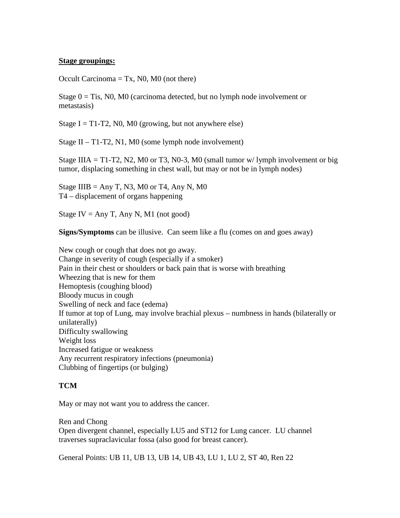### **Stage groupings:**

Occult Carcinoma  $= Tx$ , N0, M0 (not there)

Stage  $0 = T$ is, NO, MO (carcinoma detected, but no lymph node involvement or metastasis)

Stage I = T1-T2, N0, M0 (growing, but not anywhere else)

Stage II – T1-T2, N1, M0 (some lymph node involvement)

Stage IIIA = T1-T2, N2, M0 or T3, N0-3, M0 (small tumor  $w/$  lymph involvement or big tumor, displacing something in chest wall, but may or not be in lymph nodes)

Stage IIIB = Any T, N3, M0 or T4, Any N, M0 T4 – displacement of organs happening

Stage IV = Any T, Any N, M1 (not good)

**Signs/Symptoms** can be illusive. Can seem like a flu (comes on and goes away)

New cough or cough that does not go away. Change in severity of cough (especially if a smoker) Pain in their chest or shoulders or back pain that is worse with breathing Wheezing that is new for them Hemoptesis (coughing blood) Bloody mucus in cough Swelling of neck and face (edema) If tumor at top of Lung, may involve brachial plexus – numbness in hands (bilaterally or unilaterally) Difficulty swallowing Weight loss Increased fatigue or weakness Any recurrent respiratory infections (pneumonia) Clubbing of fingertips (or bulging)

## **TCM**

May or may not want you to address the cancer.

Ren and Chong Open divergent channel, especially LU5 and ST12 for Lung cancer. LU channel traverses supraclavicular fossa (also good for breast cancer).

General Points: UB 11, UB 13, UB 14, UB 43, LU 1, LU 2, ST 40, Ren 22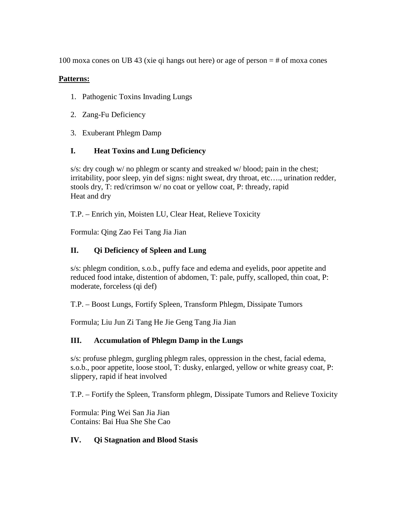100 moxa cones on UB 43 (xie qi hangs out here) or age of person = # of moxa cones

# **Patterns:**

- 1. Pathogenic Toxins Invading Lungs
- 2. Zang-Fu Deficiency
- 3. Exuberant Phlegm Damp

# **I. Heat Toxins and Lung Deficiency**

s/s: dry cough w/ no phlegm or scanty and streaked w/ blood; pain in the chest; irritability, poor sleep, yin def signs: night sweat, dry throat, etc…., urination redder, stools dry, T: red/crimson w/ no coat or yellow coat, P: thready, rapid Heat and dry

T.P. – Enrich yin, Moisten LU, Clear Heat, Relieve Toxicity

Formula: Qing Zao Fei Tang Jia Jian

# **II. Qi Deficiency of Spleen and Lung**

s/s: phlegm condition, s.o.b., puffy face and edema and eyelids, poor appetite and reduced food intake, distention of abdomen, T: pale, puffy, scalloped, thin coat, P: moderate, forceless (qi def)

T.P. – Boost Lungs, Fortify Spleen, Transform Phlegm, Dissipate Tumors

Formula; Liu Jun Zi Tang He Jie Geng Tang Jia Jian

# **III. Accumulation of Phlegm Damp in the Lungs**

s/s: profuse phlegm, gurgling phlegm rales, oppression in the chest, facial edema, s.o.b., poor appetite, loose stool, T: dusky, enlarged, yellow or white greasy coat, P: slippery, rapid if heat involved

T.P. – Fortify the Spleen, Transform phlegm, Dissipate Tumors and Relieve Toxicity

Formula: Ping Wei San Jia Jian Contains: Bai Hua She She Cao

# **IV. Qi Stagnation and Blood Stasis**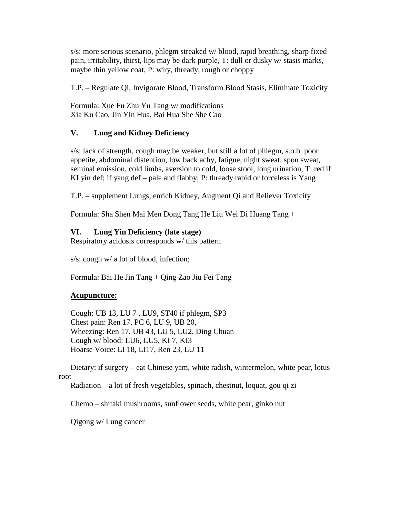s/s: more serious scenario, phlegm streaked w/ blood, rapid breathing, sharp fixed pain, irritability, thirst, lips may be dark purple, T: dull or dusky w/ stasis marks, maybe thin yellow coat, P: wiry, thready, rough or choppy

T.P. – Regulate Qi, Invigorate Blood, Transform Blood Stasis, Eliminate Toxicity

Formula: Xue Fu Zhu Yu Tang w/ modifications Xia Ku Cao, Jin Yin Hua, Bai Hua She She Cao

# **V. Lung and Kidney Deficiency**

s/s; lack of strength, cough may be weaker, but still a lot of phlegm, s.o.b. poor appetite, abdominal distention, low back achy, fatigue, night sweat, spon sweat, seminal emission, cold limbs, aversion to cold, loose stool, long urination, T: red if KI yin def; if yang def – pale and flabby; P: thready rapid or forceless is Yang

T.P. – supplement Lungs, enrich Kidney, Augment Qi and Reliever Toxicity

Formula: Sha Shen Mai Men Dong Tang He Liu Wei Di Huang Tang +

# **VI. Lung Yin Deficiency (late stage)**

Respiratory acidosis corresponds w/ this pattern

s/s: cough w/ a lot of blood, infection;

Formula: Bai He Jin Tang + Qing Zao Jiu Fei Tang

### **Acupuncture:**

Cough: UB 13, LU 7 , LU9, ST40 if phlegm, SP3 Chest pain: Ren 17, PC 6, LU 9, UB 20, Wheezing: Ren 17, UB 43, LU 5, LU2, Ding Chuan Cough w/ blood: LU6, LU5, KI 7, KI3 Hoarse Voice: LI 18, LI17, Ren 23, LU 11

Dietary: if surgery – eat Chinese yam, white radish, wintermelon, white pear, lotus root

Radiation – a lot of fresh vegetables, spinach, chestnut, loquat, gou qi zi

Chemo – shitaki mushrooms, sunflower seeds, white pear, ginko nut

Qigong w/ Lung cancer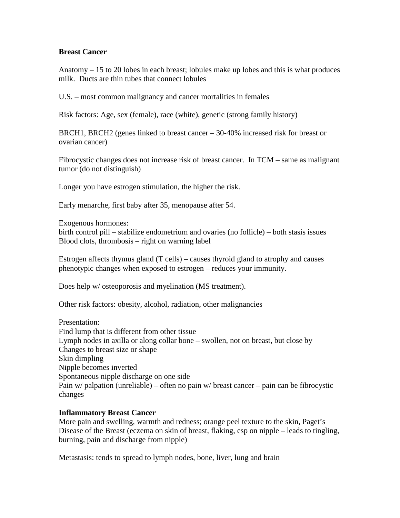### **Breast Cancer**

Anatomy – 15 to 20 lobes in each breast; lobules make up lobes and this is what produces milk. Ducts are thin tubes that connect lobules

U.S. – most common malignancy and cancer mortalities in females

Risk factors: Age, sex (female), race (white), genetic (strong family history)

BRCH1, BRCH2 (genes linked to breast cancer – 30-40% increased risk for breast or ovarian cancer)

Fibrocystic changes does not increase risk of breast cancer. In TCM – same as malignant tumor (do not distinguish)

Longer you have estrogen stimulation, the higher the risk.

Early menarche, first baby after 35, menopause after 54.

Exogenous hormones:

birth control pill – stabilize endometrium and ovaries (no follicle) – both stasis issues Blood clots, thrombosis – right on warning label

Estrogen affects thymus gland (T cells) – causes thyroid gland to atrophy and causes phenotypic changes when exposed to estrogen – reduces your immunity.

Does help w/ osteoporosis and myelination (MS treatment).

Other risk factors: obesity, alcohol, radiation, other malignancies

Presentation: Find lump that is different from other tissue Lymph nodes in axilla or along collar bone – swollen, not on breast, but close by Changes to breast size or shape Skin dimpling Nipple becomes inverted Spontaneous nipple discharge on one side Pain  $w$  palpation (unreliable) – often no pain  $w$  breast cancer – pain can be fibrocystic changes

### **Inflammatory Breast Cancer**

More pain and swelling, warmth and redness; orange peel texture to the skin, Paget's Disease of the Breast (eczema on skin of breast, flaking, esp on nipple – leads to tingling, burning, pain and discharge from nipple)

Metastasis: tends to spread to lymph nodes, bone, liver, lung and brain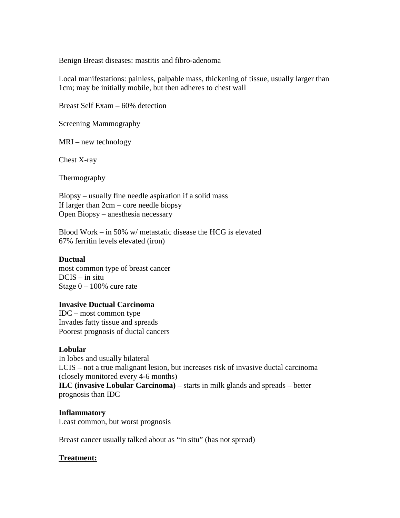Benign Breast diseases: mastitis and fibro-adenoma

Local manifestations: painless, palpable mass, thickening of tissue, usually larger than 1cm; may be initially mobile, but then adheres to chest wall

Breast Self Exam – 60% detection

Screening Mammography

MRI – new technology

Chest X-ray

Thermography

Biopsy – usually fine needle aspiration if a solid mass If larger than 2cm – core needle biopsy Open Biopsy – anesthesia necessary

Blood Work – in 50% w/ metastatic disease the HCG is elevated 67% ferritin levels elevated (iron)

#### **Ductual**

most common type of breast cancer DCIS – in situ Stage 0 – 100% cure rate

### **Invasive Ductual Carcinoma**

IDC – most common type Invades fatty tissue and spreads Poorest prognosis of ductal cancers

### **Lobular**

In lobes and usually bilateral LCIS – not a true malignant lesion, but increases risk of invasive ductal carcinoma (closely monitored every 4-6 months) **ILC (invasive Lobular Carcinoma)** – starts in milk glands and spreads – better prognosis than IDC

#### **Inflammatory**

Least common, but worst prognosis

Breast cancer usually talked about as "in situ" (has not spread)

### **Treatment:**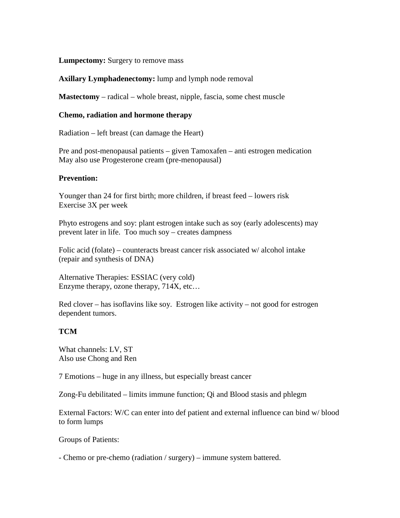**Lumpectomy:** Surgery to remove mass

### **Axillary Lymphadenectomy:** lump and lymph node removal

**Mastectomy** – radical – whole breast, nipple, fascia, some chest muscle

#### **Chemo, radiation and hormone therapy**

Radiation – left breast (can damage the Heart)

Pre and post-menopausal patients – given Tamoxafen – anti estrogen medication May also use Progesterone cream (pre-menopausal)

#### **Prevention:**

Younger than 24 for first birth; more children, if breast feed – lowers risk Exercise 3X per week

Phyto estrogens and soy: plant estrogen intake such as soy (early adolescents) may prevent later in life. Too much soy – creates dampness

Folic acid (folate) – counteracts breast cancer risk associated w/ alcohol intake (repair and synthesis of DNA)

Alternative Therapies: ESSIAC (very cold) Enzyme therapy, ozone therapy, 714X, etc…

Red clover – has isoflavins like soy. Estrogen like activity – not good for estrogen dependent tumors.

### **TCM**

What channels: LV, ST Also use Chong and Ren

7 Emotions – huge in any illness, but especially breast cancer

Zong-Fu debilitated – limits immune function; Qi and Blood stasis and phlegm

External Factors: W/C can enter into def patient and external influence can bind w/ blood to form lumps

Groups of Patients:

- Chemo or pre-chemo (radiation / surgery) – immune system battered.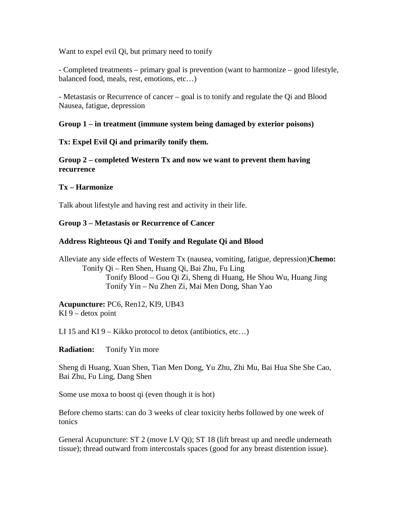Want to expel evil Oi, but primary need to tonify

- Completed treatments – primary goal is prevention (want to harmonize – good lifestyle, balanced food, meals, rest, emotions, etc…)

- Metastasis or Recurrence of cancer – goal is to tonify and regulate the Qi and Blood Nausea, fatigue, depression

### **Group 1 – in treatment (immune system being damaged by exterior poisons)**

### **Tx: Expel Evil Qi and primarily tonify them.**

**Group 2 – completed Western Tx and now we want to prevent them having recurrence** 

### **Tx – Harmonize**

Talk about lifestyle and having rest and activity in their life.

## **Group 3 – Metastasis or Recurrence of Cancer**

## **Address Righteous Qi and Tonify and Regulate Qi and Blood**

Alleviate any side effects of Western Tx (nausea, vomiting, fatigue, depression)**Chemo:** Tonify Qi – Ren Shen, Huang Qi, Bai Zhu, Fu Ling Tonify Blood – Gou Qi Zi, Sheng di Huang, He Shou Wu, Huang Jing Tonify Yin – Nu Zhen Zi, Mai Men Dong, Shan Yao

**Acupuncture:** PC6, Ren12, KI9, UB43 KI  $9$  – detox point

LI 15 and KI  $9 -$  Kikko protocol to detox (antibiotics, etc...)

**Radiation:** Tonify Yin more

Sheng di Huang, Xuan Shen, Tian Men Dong, Yu Zhu, Zhi Mu, Bai Hua She She Cao, Bai Zhu, Fu Ling, Dang Shen

Some use moxa to boost qi (even though it is hot)

Before chemo starts: can do 3 weeks of clear toxicity herbs followed by one week of tonics

General Acupuncture: ST 2 (move LV Qi); ST 18 (lift breast up and needle underneath tissue); thread outward from intercostals spaces (good for any breast distention issue).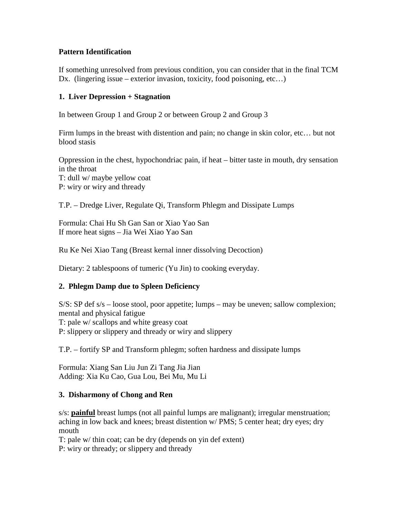## **Pattern Identification**

If something unresolved from previous condition, you can consider that in the final TCM Dx. (lingering issue – exterior invasion, toxicity, food poisoning, etc...)

## **1. Liver Depression + Stagnation**

In between Group 1 and Group 2 or between Group 2 and Group 3

Firm lumps in the breast with distention and pain; no change in skin color, etc… but not blood stasis

Oppression in the chest, hypochondriac pain, if heat – bitter taste in mouth, dry sensation in the throat T: dull w/ maybe yellow coat P: wiry or wiry and thready

T.P. – Dredge Liver, Regulate Qi, Transform Phlegm and Dissipate Lumps

Formula: Chai Hu Sh Gan San or Xiao Yao San If more heat signs – Jia Wei Xiao Yao San

Ru Ke Nei Xiao Tang (Breast kernal inner dissolving Decoction)

Dietary: 2 tablespoons of tumeric (Yu Jin) to cooking everyday.

# **2. Phlegm Damp due to Spleen Deficiency**

S/S: SP def s/s – loose stool, poor appetite; lumps – may be uneven; sallow complexion; mental and physical fatigue T: pale w/ scallops and white greasy coat P: slippery or slippery and thready or wiry and slippery

T.P. – fortify SP and Transform phlegm; soften hardness and dissipate lumps

Formula: Xiang San Liu Jun Zi Tang Jia Jian Adding: Xia Ku Cao, Gua Lou, Bei Mu, Mu Li

### **3. Disharmony of Chong and Ren**

s/s: **painful** breast lumps (not all painful lumps are malignant); irregular menstruation; aching in low back and knees; breast distention w/ PMS; 5 center heat; dry eyes; dry mouth

T: pale w/ thin coat; can be dry (depends on yin def extent) P: wiry or thready; or slippery and thready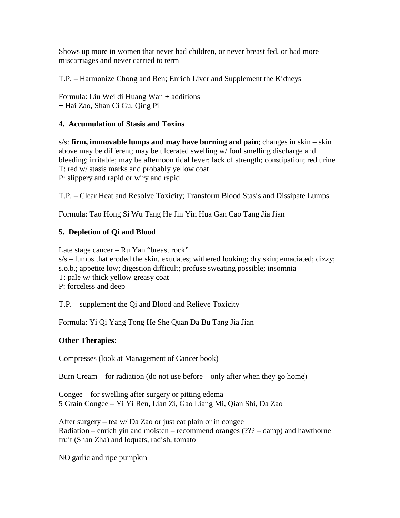Shows up more in women that never had children, or never breast fed, or had more miscarriages and never carried to term

T.P. – Harmonize Chong and Ren; Enrich Liver and Supplement the Kidneys

Formula: Liu Wei di Huang Wan + additions + Hai Zao, Shan Ci Gu, Qing Pi

# **4. Accumulation of Stasis and Toxins**

s/s: **firm, immovable lumps and may have burning and pain**; changes in skin – skin above may be different; may be ulcerated swelling w/ foul smelling discharge and bleeding; irritable; may be afternoon tidal fever; lack of strength; constipation; red urine T: red w/ stasis marks and probably yellow coat P: slippery and rapid or wiry and rapid

T.P. – Clear Heat and Resolve Toxicity; Transform Blood Stasis and Dissipate Lumps

Formula: Tao Hong Si Wu Tang He Jin Yin Hua Gan Cao Tang Jia Jian

# **5. Depletion of Qi and Blood**

Late stage cancer – Ru Yan "breast rock" s/s – lumps that eroded the skin, exudates; withered looking; dry skin; emaciated; dizzy; s.o.b.; appetite low; digestion difficult; profuse sweating possible; insomnia T: pale w/ thick yellow greasy coat P: forceless and deep

T.P. – supplement the Qi and Blood and Relieve Toxicity

Formula: Yi Qi Yang Tong He She Quan Da Bu Tang Jia Jian

# **Other Therapies:**

Compresses (look at Management of Cancer book)

Burn Cream – for radiation (do not use before – only after when they go home)

Congee – for swelling after surgery or pitting edema 5 Grain Congee – Yi Yi Ren, Lian Zi, Gao Liang Mi, Qian Shi, Da Zao

After surgery – tea w/ Da Zao or just eat plain or in congee Radiation – enrich yin and moisten – recommend oranges (??? – damp) and hawthorne fruit (Shan Zha) and loquats, radish, tomato

NO garlic and ripe pumpkin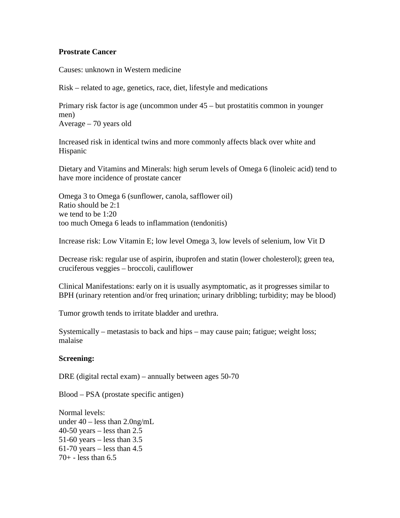### **Prostrate Cancer**

Causes: unknown in Western medicine

Risk – related to age, genetics, race, diet, lifestyle and medications

Primary risk factor is age (uncommon under 45 – but prostatitis common in younger men)

Average – 70 years old

Increased risk in identical twins and more commonly affects black over white and Hispanic

Dietary and Vitamins and Minerals: high serum levels of Omega 6 (linoleic acid) tend to have more incidence of prostate cancer

Omega 3 to Omega 6 (sunflower, canola, safflower oil) Ratio should be 2:1 we tend to be 1:20 too much Omega 6 leads to inflammation (tendonitis)

Increase risk: Low Vitamin E; low level Omega 3, low levels of selenium, low Vit D

Decrease risk: regular use of aspirin, ibuprofen and statin (lower cholesterol); green tea, cruciferous veggies – broccoli, cauliflower

Clinical Manifestations: early on it is usually asymptomatic, as it progresses similar to BPH (urinary retention and/or freq urination; urinary dribbling; turbidity; may be blood)

Tumor growth tends to irritate bladder and urethra.

Systemically – metastasis to back and hips – may cause pain; fatigue; weight loss; malaise

### **Screening:**

DRE (digital rectal exam) – annually between ages 50-70

Blood – PSA (prostate specific antigen)

Normal levels: under 40 – less than 2.0ng/mL  $40-50$  years – less than 2.5 51-60 years – less than  $3.5$  $61-70$  years – less than 4.5  $70 + - \text{less than } 6.5$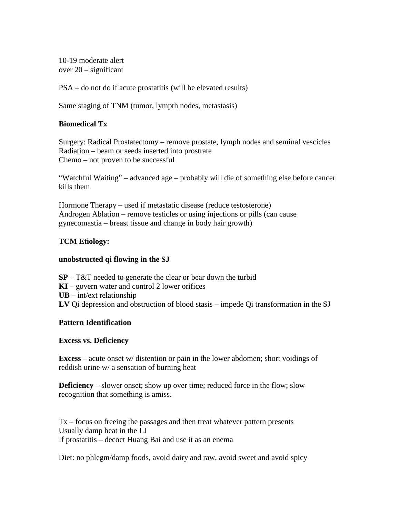10-19 moderate alert over 20 – significant

PSA – do not do if acute prostatitis (will be elevated results)

Same staging of TNM (tumor, lympth nodes, metastasis)

## **Biomedical Tx**

Surgery: Radical Prostatectomy – remove prostate, lymph nodes and seminal vescicles Radiation – beam or seeds inserted into prostrate Chemo – not proven to be successful

"Watchful Waiting" – advanced age – probably will die of something else before cancer kills them

Hormone Therapy – used if metastatic disease (reduce testosterone) Androgen Ablation – remove testicles or using injections or pills (can cause gynecomastia – breast tissue and change in body hair growth)

## **TCM Etiology:**

### **unobstructed qi flowing in the SJ**

**SP** – T&T needed to generate the clear or bear down the turbid **KI** – govern water and control 2 lower orifices **UB** – int/ext relationship **LV** Qi depression and obstruction of blood stasis – impede Qi transformation in the SJ

### **Pattern Identification**

### **Excess vs. Deficiency**

**Excess** – acute onset w/ distention or pain in the lower abdomen; short voidings of reddish urine w/ a sensation of burning heat

**Deficiency** – slower onset; show up over time; reduced force in the flow; slow recognition that something is amiss.

Tx – focus on freeing the passages and then treat whatever pattern presents Usually damp heat in the LJ If prostatitis – decoct Huang Bai and use it as an enema

Diet: no phlegm/damp foods, avoid dairy and raw, avoid sweet and avoid spicy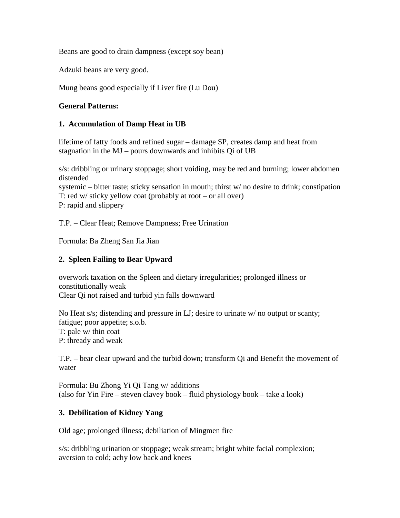Beans are good to drain dampness (except soy bean)

Adzuki beans are very good.

Mung beans good especially if Liver fire (Lu Dou)

## **General Patterns:**

## **1. Accumulation of Damp Heat in UB**

lifetime of fatty foods and refined sugar – damage SP, creates damp and heat from stagnation in the MJ – pours downwards and inhibits Qi of UB

s/s: dribbling or urinary stoppage; short voiding, may be red and burning; lower abdomen distended systemic – bitter taste; sticky sensation in mouth; thirst w/ no desire to drink; constipation

T: red w/ sticky yellow coat (probably at root – or all over) P: rapid and slippery

T.P. – Clear Heat; Remove Dampness; Free Urination

Formula: Ba Zheng San Jia Jian

# **2. Spleen Failing to Bear Upward**

overwork taxation on the Spleen and dietary irregularities; prolonged illness or constitutionally weak Clear Qi not raised and turbid yin falls downward

No Heat s/s; distending and pressure in LJ; desire to urinate w/ no output or scanty; fatigue; poor appetite; s.o.b. T: pale w/ thin coat P: thready and weak

T.P. – bear clear upward and the turbid down; transform Qi and Benefit the movement of water

Formula: Bu Zhong Yi Qi Tang w/ additions (also for Yin Fire – steven clavey book – fluid physiology book – take a look)

### **3. Debilitation of Kidney Yang**

Old age; prolonged illness; debiliation of Mingmen fire

s/s: dribbling urination or stoppage; weak stream; bright white facial complexion; aversion to cold; achy low back and knees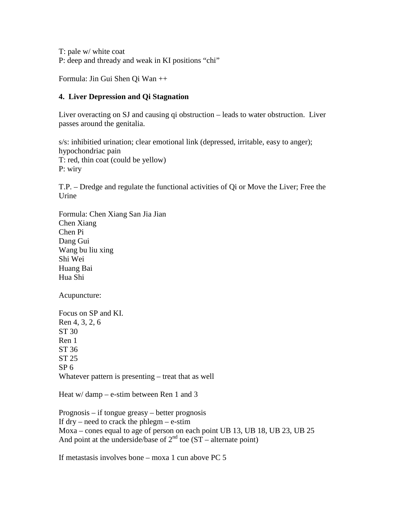T: pale w/ white coat P: deep and thready and weak in KI positions "chi"

Formula: Jin Gui Shen Qi Wan ++

## **4. Liver Depression and Qi Stagnation**

Liver overacting on SJ and causing qi obstruction – leads to water obstruction. Liver passes around the genitalia.

s/s: inhibitied urination; clear emotional link (depressed, irritable, easy to anger); hypochondriac pain T: red, thin coat (could be yellow) P: wiry

T.P. – Dredge and regulate the functional activities of Qi or Move the Liver; Free the Urine

Formula: Chen Xiang San Jia Jian Chen Xiang Chen Pi Dang Gui Wang bu liu xing Shi Wei Huang Bai Hua Shi

Acupuncture:

Focus on SP and KI. Ren 4, 3, 2, 6 ST 30 Ren 1 ST 36 ST 25  $SP<sub>6</sub>$ Whatever pattern is presenting – treat that as well

Heat w/damp – e-stim between Ren 1 and 3

Prognosis – if tongue greasy – better prognosis If  $\text{dry}$  – need to crack the phlegm – e-stim Moxa – cones equal to age of person on each point UB 13, UB 18, UB 23, UB 25 And point at the underside/base of  $2<sup>nd</sup>$  toe (ST – alternate point)

If metastasis involves bone – moxa 1 cun above PC 5